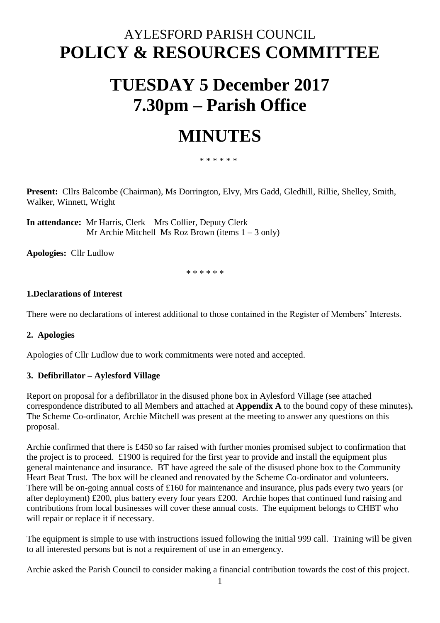# AYLESFORD PARISH COUNCIL **POLICY & RESOURCES COMMITTEE**

# **TUESDAY 5 December 2017 7.30pm – Parish Office**

# **MINUTES**

\* \* \* \* \* \*

**Present:** Cllrs Balcombe (Chairman), Ms Dorrington, Elvy, Mrs Gadd, Gledhill, Rillie, Shelley, Smith, Walker, Winnett, Wright

**In attendance:** Mr Harris, Clerk Mrs Collier, Deputy Clerk Mr Archie Mitchell Ms Roz Brown (items  $1 - 3$  only)

**Apologies:** Cllr Ludlow

\* \* \* \* \* \*

# **1.Declarations of Interest**

There were no declarations of interest additional to those contained in the Register of Members' Interests.

# **2. Apologies**

Apologies of Cllr Ludlow due to work commitments were noted and accepted.

# **3. Defibrillator – Aylesford Village**

Report on proposal for a defibrillator in the disused phone box in Aylesford Village (see attached correspondence distributed to all Members and attached at **Appendix A** to the bound copy of these minutes)**.** The Scheme Co-ordinator, Archie Mitchell was present at the meeting to answer any questions on this proposal.

Archie confirmed that there is £450 so far raised with further monies promised subject to confirmation that the project is to proceed. £1900 is required for the first year to provide and install the equipment plus general maintenance and insurance. BT have agreed the sale of the disused phone box to the Community Heart Beat Trust. The box will be cleaned and renovated by the Scheme Co-ordinator and volunteers. There will be on-going annual costs of £160 for maintenance and insurance, plus pads every two years (or after deployment) £200, plus battery every four years £200. Archie hopes that continued fund raising and contributions from local businesses will cover these annual costs. The equipment belongs to CHBT who will repair or replace it if necessary.

The equipment is simple to use with instructions issued following the initial 999 call. Training will be given to all interested persons but is not a requirement of use in an emergency.

Archie asked the Parish Council to consider making a financial contribution towards the cost of this project.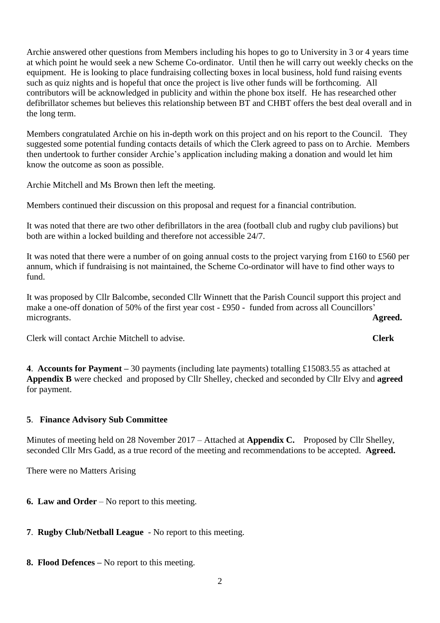Archie answered other questions from Members including his hopes to go to University in 3 or 4 years time at which point he would seek a new Scheme Co-ordinator. Until then he will carry out weekly checks on the equipment. He is looking to place fundraising collecting boxes in local business, hold fund raising events such as quiz nights and is hopeful that once the project is live other funds will be forthcoming. All contributors will be acknowledged in publicity and within the phone box itself. He has researched other defibrillator schemes but believes this relationship between BT and CHBT offers the best deal overall and in the long term.

Members congratulated Archie on his in-depth work on this project and on his report to the Council. They suggested some potential funding contacts details of which the Clerk agreed to pass on to Archie. Members then undertook to further consider Archie's application including making a donation and would let him know the outcome as soon as possible.

Archie Mitchell and Ms Brown then left the meeting.

Members continued their discussion on this proposal and request for a financial contribution.

It was noted that there are two other defibrillators in the area (football club and rugby club pavilions) but both are within a locked building and therefore not accessible 24/7.

It was noted that there were a number of on going annual costs to the project varying from £160 to £560 per annum, which if fundraising is not maintained, the Scheme Co-ordinator will have to find other ways to fund.

It was proposed by Cllr Balcombe, seconded Cllr Winnett that the Parish Council support this project and make a one-off donation of 50% of the first year cost - £950 - funded from across all Councillors' microgrants. **Agreed.** 

Clerk will contact Archie Mitchell to advise. **Clerk**

**4**. **Accounts for Payment –** 30 payments (including late payments) totalling £15083.55 as attached at **Appendix B** were checked and proposed by Cllr Shelley, checked and seconded by Cllr Elvy and **agreed**  for payment.

# **5**. **Finance Advisory Sub Committee**

Minutes of meeting held on 28 November 2017 – Attached at **Appendix C.** Proposed by Cllr Shelley, seconded Cllr Mrs Gadd, as a true record of the meeting and recommendations to be accepted. **Agreed.**

There were no Matters Arising

- **6. Law and Order** No report to this meeting.
- **7**. **Rugby Club/Netball League** No report to this meeting.
- **8. Flood Defences –** No report to this meeting.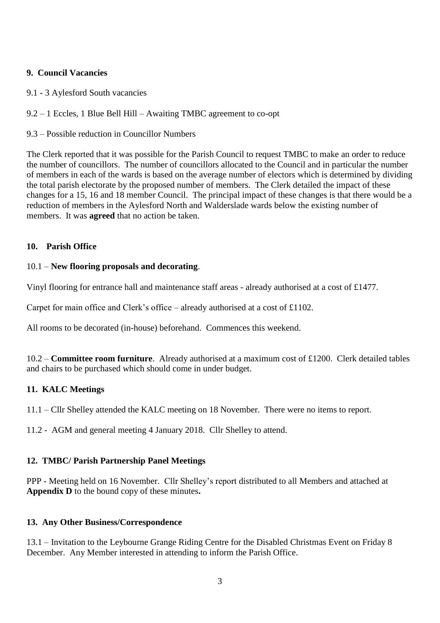# **9. Council Vacancies**

- 9.1 3 Aylesford South vacancies
- 9.2 1 Eccles, 1 Blue Bell Hill Awaiting TMBC agreement to co-opt
- 9.3 Possible reduction in Councillor Numbers

The Clerk reported that it was possible for the Parish Council to request TMBC to make an order to reduce the number of councillors. The number of councillors allocated to the Council and in particular the number of members in each of the wards is based on the average number of electors which is determined by dividing the total parish electorate by the proposed number of members. The Clerk detailed the impact of these changes for a 15, 16 and 18 member Council. The principal impact of these changes is that there would be a reduction of members in the Aylesford North and Walderslade wards below the existing number of members. It was **agreed** that no action be taken.

### **10. Parish Office**

### 10.1 – **New flooring proposals and decorating**.

Vinyl flooring for entrance hall and maintenance staff areas - already authorised at a cost of £1477.

Carpet for main office and Clerk's office – already authorised at a cost of £1102.

All rooms to be decorated (in-house) beforehand. Commences this weekend.

10.2 – **Committee room furniture**. Already authorised at a maximum cost of £1200. Clerk detailed tables and chairs to be purchased which should come in under budget.

# **11. KALC Meetings**

11.1 – Cllr Shelley attended the KALC meeting on 18 November. There were no items to report.

11.2 - AGM and general meeting 4 January 2018. Cllr Shelley to attend.

# **12. TMBC/ Parish Partnership Panel Meetings**

PPP - Meeting held on 16 November. Cllr Shelley's report distributed to all Members and attached at **Appendix D** to the bound copy of these minutes**.** 

#### **13. Any Other Business/Correspondence**

13.1 – Invitation to the Leybourne Grange Riding Centre for the Disabled Christmas Event on Friday 8 December. Any Member interested in attending to inform the Parish Office.